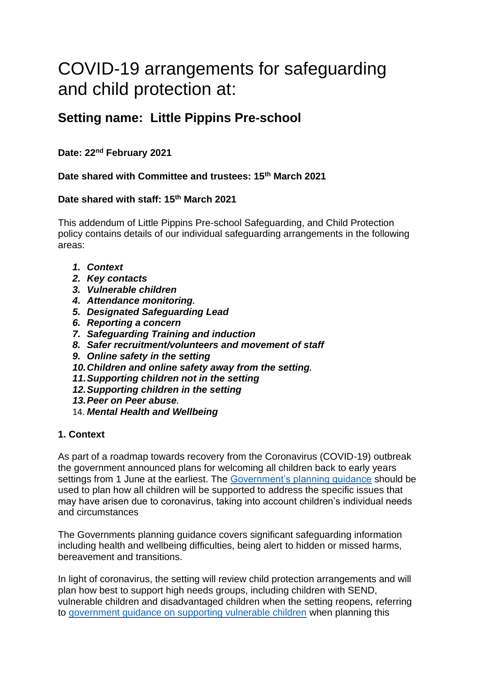# COVID-19 arrangements for safeguarding and child protection at:

# **Setting name: Little Pippins Pre-school**

# **Date: 22nd February 2021**

## **Date shared with Committee and trustees: 15th March 2021**

#### **Date shared with staff: 15th March 2021**

This addendum of Little Pippins Pre-school Safeguarding, and Child Protection policy contains details of our individual safeguarding arrangements in the following areas:

- *1. Context*
- *2. Key contacts*
- *3. Vulnerable children*
- *4. Attendance monitoring.*
- *5. Designated Safeguarding Lead*
- *6. Reporting a concern*
- *7. Safeguarding Training and induction*
- *8. Safer recruitment/volunteers and movement of staff*
- *9. Online safety in the setting*
- *10.Children and online safety away from the setting.*
- *11.Supporting children not in the setting*
- *12.Supporting children in the setting*
- *13.Peer on Peer abuse.*
- 14. *Mental Health and Wellbeing*

#### **1. Context**

As part of a roadmap towards recovery from the Coronavirus (COVID-19) outbreak the government announced plans for welcoming all children back to early years settings from 1 June at the earliest. The [Government's planning guidance](https://www.gov.uk/government/collections/early-years-and-childcare-coronavirus-covid-19) should be used to plan how all children will be supported to address the specific issues that may have arisen due to coronavirus, taking into account children's individual needs and circumstances

The Governments planning guidance covers significant safeguarding information including health and wellbeing difficulties, being alert to hidden or missed harms, bereavement and transitions.

In light of coronavirus, the setting will review child protection arrangements and will plan how best to support high needs groups, including children with SEND, vulnerable children and disadvantaged children when the setting reopens, referring to [government guidance on supporting vulnerable children](https://www.gov.uk/government/publications/coronavirus-covid-19-guidance-on-vulnerable-children-and-young-people) when planning this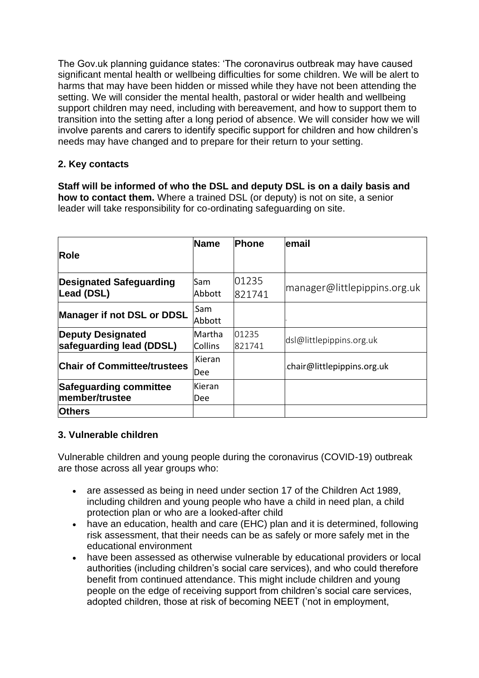The Gov.uk planning guidance states: 'The coronavirus outbreak may have caused significant mental health or wellbeing difficulties for some children. We will be alert to harms that may have been hidden or missed while they have not been attending the setting. We will consider the mental health, pastoral or wider health and wellbeing support children may need, including with bereavement, and how to support them to transition into the setting after a long period of absence. We will consider how we will involve parents and carers to identify specific support for children and how children's needs may have changed and to prepare for their return to your setting.

# **2. Key contacts**

**Staff will be informed of who the DSL and deputy DSL is on a daily basis and how to contact them.** Where a trained DSL (or deputy) is not on site, a senior leader will take responsibility for co-ordinating safeguarding on site.

| <b>Role</b>                                          | <b>Name</b>              | <b>Phone</b>    | lemail                       |
|------------------------------------------------------|--------------------------|-----------------|------------------------------|
| <b>Designated Safeguarding</b><br>Lead (DSL)         | Sam<br>Abbott            | 01235<br>821741 | manager@littlepippins.org.uk |
| Manager if not DSL or DDSL                           | .Sam<br>Abbott           |                 |                              |
| <b>Deputy Designated</b><br>safeguarding lead (DDSL) | Martha<br><b>Collins</b> | 01235<br>821741 | dsl@littlepippins.org.uk     |
| <b>Chair of Committee/trustees</b>                   | .Kieran<br><b>Dee</b>    |                 | chair@littlepippins.org.uk   |
| <b>Safeguarding committee</b><br>member/trustee      | Kieran<br>Dee            |                 |                              |
| <b>Others</b>                                        |                          |                 |                              |

# **3. Vulnerable children**

Vulnerable children and young people during the coronavirus (COVID-19) outbreak are those across all year groups who:

- are assessed as being in need under section 17 of the Children Act 1989, including children and young people who have a child in need plan, a child protection plan or who are a looked-after child
- have an education, health and care (EHC) plan and it is determined, following risk assessment, that their needs can be as safely or more safely met in the educational environment
- have been assessed as otherwise vulnerable by educational providers or local authorities (including children's social care services), and who could therefore benefit from continued attendance. This might include children and young people on the edge of receiving support from children's social care services, adopted children, those at risk of becoming NEET ('not in employment,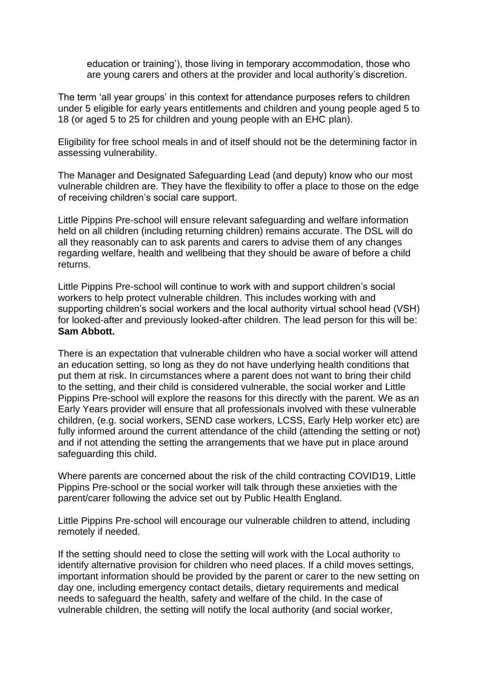education or training'), those living in temporary accommodation, those who are young carers and others at the provider and local authority's discretion.

The term 'all year groups' in this context for attendance purposes refers to children under 5 eligible for early years entitlements and children and young people aged 5 to 18 (or aged 5 to 25 for children and young people with an EHC plan).

Eligibility for free school meals in and of itself should not be the determining factor in assessing vulnerability.

The Manager and Designated Safeguarding Lead (and deputy) know who our most vulnerable children are. They have the flexibility to offer a place to those on the edge of receiving children's social care support.

Little Pippins Pre-school will ensure relevant safeguarding and welfare information held on all children (including returning children) remains accurate. The DSL will do all they reasonably can to ask parents and carers to advise them of any changes regarding welfare, health and wellbeing that they should be aware of before a child returns.

Little Pippins Pre-school will continue to work with and support children's social workers to help protect vulnerable children. This includes working with and supporting children's social workers and the local authority virtual school head (VSH) for looked-after and previously looked-after children. The lead person for this will be: **Sam Abbott.**

There is an expectation that vulnerable children who have a social worker will attend an education setting, so long as they do not have underlying health conditions that put them at risk. In circumstances where a parent does not want to bring their child to the setting, and their child is considered vulnerable, the social worker and Little Pippins Pre-school will explore the reasons for this directly with the parent. We as an Early Years provider will ensure that all professionals involved with these vulnerable children, (e.g. social workers, SEND case workers, LCSS, Early Help worker etc) are fully informed around the current attendance of the child (attending the setting or not) and if not attending the setting the arrangements that we have put in place around safeguarding this child.

Where parents are concerned about the risk of the child contracting COVID19, Little Pippins Pre-school or the social worker will talk through these anxieties with the parent/carer following the advice set out by Public Health England.

Little Pippins Pre-school will encourage our vulnerable children to attend, including remotely if needed.

If the setting should need to close the setting will work with the Local authority to identify alternative provision for children who need places. If a child moves settings, important information should be provided by the parent or carer to the new setting on day one, including emergency contact details, dietary requirements and medical needs to safeguard the health, safety and welfare of the child. In the case of vulnerable children, the setting will notify the local authority (and social worker,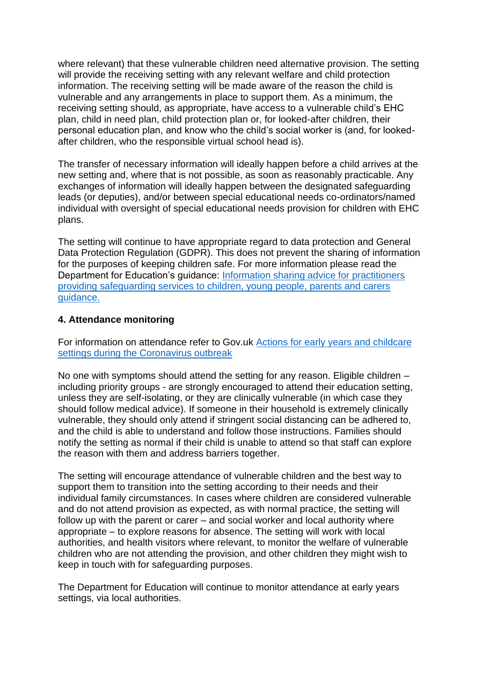where relevant) that these vulnerable children need alternative provision. The setting will provide the receiving setting with any relevant welfare and child protection information. The receiving setting will be made aware of the reason the child is vulnerable and any arrangements in place to support them. As a minimum, the receiving setting should, as appropriate, have access to a vulnerable child's EHC plan, child in need plan, child protection plan or, for looked-after children, their personal education plan, and know who the child's social worker is (and, for lookedafter children, who the responsible virtual school head is).

The transfer of necessary information will ideally happen before a child arrives at the new setting and, where that is not possible, as soon as reasonably practicable. Any exchanges of information will ideally happen between the designated safeguarding leads (or deputies), and/or between special educational needs co-ordinators/named individual with oversight of special educational needs provision for children with EHC plans.

The setting will continue to have appropriate regard to data protection and General Data Protection Regulation (GDPR). This does not prevent the sharing of information for the purposes of keeping children safe. For more information please read the Department for Education's guidance: [Information sharing advice for practitioners](https://assets.publishing.service.gov.uk/government/uploads/system/uploads/attachment_data/file/721581/Information_sharing_advice_practitioners_safeguarding_services.pdf)  [providing safeguarding services to children, young people, parents and carers](https://assets.publishing.service.gov.uk/government/uploads/system/uploads/attachment_data/file/721581/Information_sharing_advice_practitioners_safeguarding_services.pdf)  [guidance.](https://assets.publishing.service.gov.uk/government/uploads/system/uploads/attachment_data/file/721581/Information_sharing_advice_practitioners_safeguarding_services.pdf)

#### **4. Attendance monitoring**

For information on attendance refer to Gov.uk [Actions for early years and childcare](https://www.gov.uk/government/publications/coronavirus-covid-19-early-years-and-childcare-closures)  [settings during the Coronavirus outbreak](https://www.gov.uk/government/publications/coronavirus-covid-19-early-years-and-childcare-closures)

No one with symptoms should attend the setting for any reason. Eligible children – including priority groups - are strongly encouraged to attend their education setting, unless they are self-isolating, or they are clinically vulnerable (in which case they should follow medical advice). If someone in their household is extremely clinically vulnerable, they should only attend if stringent social distancing can be adhered to, and the child is able to understand and follow those instructions. Families should notify the setting as normal if their child is unable to attend so that staff can explore the reason with them and address barriers together.

The setting will encourage attendance of vulnerable children and the best way to support them to transition into the setting according to their needs and their individual family circumstances. In cases where children are considered vulnerable and do not attend provision as expected, as with normal practice, the setting will follow up with the parent or carer – and social worker and local authority where appropriate – to explore reasons for absence. The setting will work with local authorities, and health visitors where relevant, to monitor the welfare of vulnerable children who are not attending the provision, and other children they might wish to keep in touch with for safeguarding purposes.

The Department for Education will continue to monitor attendance at early years settings, via local authorities.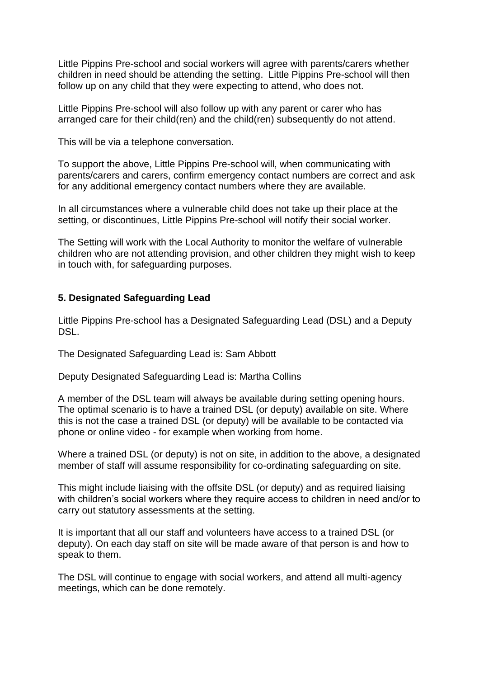Little Pippins Pre-school and social workers will agree with parents/carers whether children in need should be attending the setting. Little Pippins Pre-school will then follow up on any child that they were expecting to attend, who does not.

Little Pippins Pre-school will also follow up with any parent or carer who has arranged care for their child(ren) and the child(ren) subsequently do not attend.

This will be via a telephone conversation.

To support the above, Little Pippins Pre-school will, when communicating with parents/carers and carers, confirm emergency contact numbers are correct and ask for any additional emergency contact numbers where they are available.

In all circumstances where a vulnerable child does not take up their place at the setting, or discontinues, Little Pippins Pre-school will notify their social worker.

The Setting will work with the Local Authority to monitor the welfare of vulnerable children who are not attending provision, and other children they might wish to keep in touch with, for safeguarding purposes.

## **5. Designated Safeguarding Lead**

Little Pippins Pre-school has a Designated Safeguarding Lead (DSL) and a Deputy DSL.

The Designated Safeguarding Lead is: Sam Abbott

Deputy Designated Safeguarding Lead is: Martha Collins

A member of the DSL team will always be available during setting opening hours. The optimal scenario is to have a trained DSL (or deputy) available on site. Where this is not the case a trained DSL (or deputy) will be available to be contacted via phone or online video - for example when working from home.

Where a trained DSL (or deputy) is not on site, in addition to the above, a designated member of staff will assume responsibility for co-ordinating safeguarding on site.

This might include liaising with the offsite DSL (or deputy) and as required liaising with children's social workers where they require access to children in need and/or to carry out statutory assessments at the setting.

It is important that all our staff and volunteers have access to a trained DSL (or deputy). On each day staff on site will be made aware of that person is and how to speak to them.

The DSL will continue to engage with social workers, and attend all multi-agency meetings, which can be done remotely.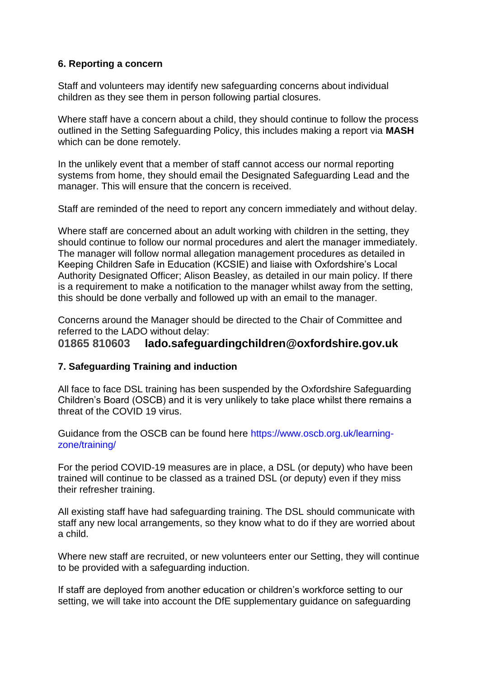## **6. Reporting a concern**

Staff and volunteers may identify new safeguarding concerns about individual children as they see them in person following partial closures.

Where staff have a concern about a child, they should continue to follow the process outlined in the Setting Safeguarding Policy, this includes making a report via **MASH** which can be done remotely.

In the unlikely event that a member of staff cannot access our normal reporting systems from home, they should email the Designated Safeguarding Lead and the manager. This will ensure that the concern is received.

Staff are reminded of the need to report any concern immediately and without delay.

Where staff are concerned about an adult working with children in the setting, they should continue to follow our normal procedures and alert the manager immediately. The manager will follow normal allegation management procedures as detailed in Keeping Children Safe in Education (KCSIE) and liaise with Oxfordshire's Local Authority Designated Officer; Alison Beasley, as detailed in our main policy. If there is a requirement to make a notification to the manager whilst away from the setting, this should be done verbally and followed up with an email to the manager.

Concerns around the Manager should be directed to the Chair of Committee and referred to the LADO without delay:

# **01865 810603 lado.safeguardingchildren@oxfordshire.gov.uk**

#### **7. Safeguarding Training and induction**

All face to face DSL training has been suspended by the Oxfordshire Safeguarding Children's Board (OSCB) and it is very unlikely to take place whilst there remains a threat of the COVID 19 virus.

Guidance from the OSCB can be found here https://www.oscb.org.uk/learningzone/training/

For the period COVID-19 measures are in place, a DSL (or deputy) who have been trained will continue to be classed as a trained DSL (or deputy) even if they miss their refresher training.

All existing staff have had safeguarding training. The DSL should communicate with staff any new local arrangements, so they know what to do if they are worried about a child.

Where new staff are recruited, or new volunteers enter our Setting, they will continue to be provided with a safeguarding induction.

If staff are deployed from another education or children's workforce setting to our setting, we will take into account the DfE supplementary guidance on safeguarding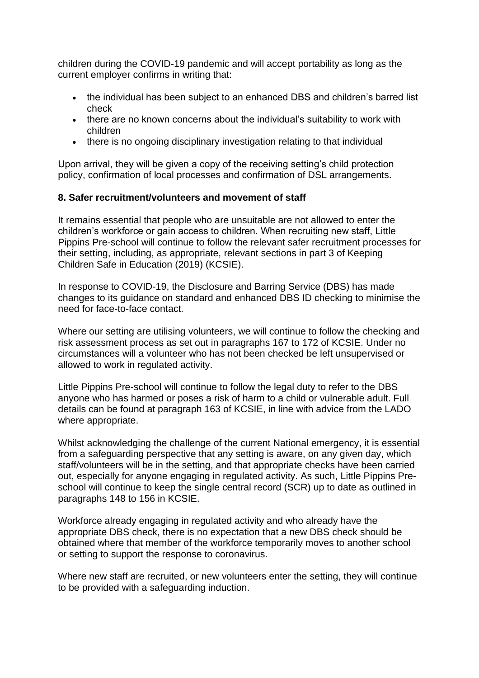children during the COVID-19 pandemic and will accept portability as long as the current employer confirms in writing that:

- the individual has been subject to an enhanced DBS and children's barred list check
- there are no known concerns about the individual's suitability to work with children
- there is no ongoing disciplinary investigation relating to that individual

Upon arrival, they will be given a copy of the receiving setting's child protection policy, confirmation of local processes and confirmation of DSL arrangements.

#### **8. Safer recruitment/volunteers and movement of staff**

It remains essential that people who are unsuitable are not allowed to enter the children's workforce or gain access to children. When recruiting new staff, Little Pippins Pre-school will continue to follow the relevant safer recruitment processes for their setting, including, as appropriate, relevant sections in part 3 of Keeping Children Safe in Education (2019) (KCSIE).

In response to COVID-19, the Disclosure and Barring Service (DBS) has made changes to its guidance on standard and enhanced DBS ID checking to minimise the need for face-to-face contact.

Where our setting are utilising volunteers, we will continue to follow the checking and risk assessment process as set out in paragraphs 167 to 172 of KCSIE. Under no circumstances will a volunteer who has not been checked be left unsupervised or allowed to work in regulated activity.

Little Pippins Pre-school will continue to follow the legal duty to refer to the DBS anyone who has harmed or poses a risk of harm to a child or vulnerable adult. Full details can be found at paragraph 163 of KCSIE, in line with advice from the LADO where appropriate.

Whilst acknowledging the challenge of the current National emergency, it is essential from a safeguarding perspective that any setting is aware, on any given day, which staff/volunteers will be in the setting, and that appropriate checks have been carried out, especially for anyone engaging in regulated activity. As such, Little Pippins Preschool will continue to keep the single central record (SCR) up to date as outlined in paragraphs 148 to 156 in KCSIE.

Workforce already engaging in regulated activity and who already have the appropriate DBS check, there is no expectation that a new DBS check should be obtained where that member of the workforce temporarily moves to another school or setting to support the response to coronavirus.

Where new staff are recruited, or new volunteers enter the setting, they will continue to be provided with a safeguarding induction.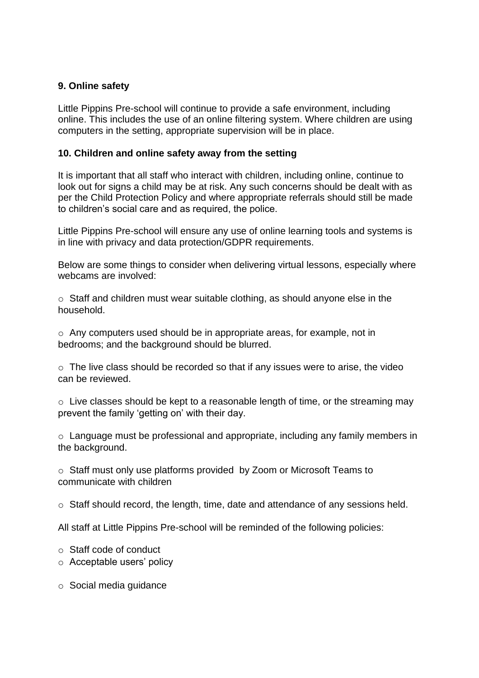# **9. Online safety**

Little Pippins Pre-school will continue to provide a safe environment, including online. This includes the use of an online filtering system. Where children are using computers in the setting, appropriate supervision will be in place.

#### **10. Children and online safety away from the setting**

It is important that all staff who interact with children, including online, continue to look out for signs a child may be at risk. Any such concerns should be dealt with as per the Child Protection Policy and where appropriate referrals should still be made to children's social care and as required, the police.

Little Pippins Pre-school will ensure any use of online learning tools and systems is in line with privacy and data protection/GDPR requirements.

Below are some things to consider when delivering virtual lessons, especially where webcams are involved:

 $\circ$  Staff and children must wear suitable clothing, as should anyone else in the household.

o Any computers used should be in appropriate areas, for example, not in bedrooms; and the background should be blurred.

 $\circ$  The live class should be recorded so that if any issues were to arise, the video can be reviewed.

 $\circ$  Live classes should be kept to a reasonable length of time, or the streaming may prevent the family 'getting on' with their day.

o Language must be professional and appropriate, including any family members in the background.

o Staff must only use platforms provided by Zoom or Microsoft Teams to communicate with children

o Staff should record, the length, time, date and attendance of any sessions held.

All staff at Little Pippins Pre-school will be reminded of the following policies:

- o Staff code of conduct
- o Acceptable users' policy

o Social media guidance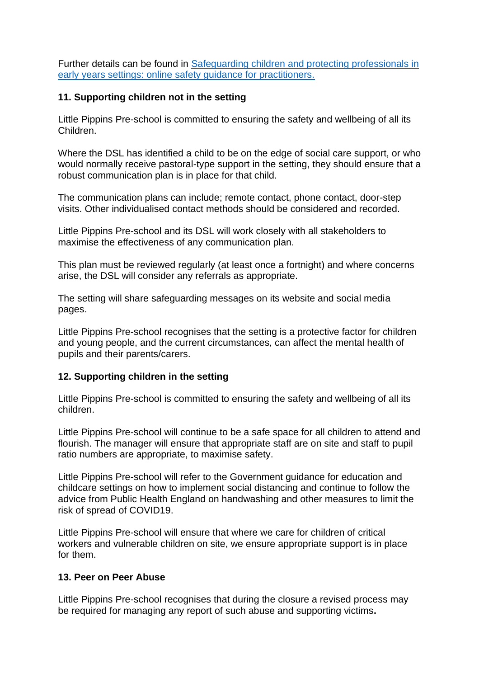Further details can be found in **Safeguarding children and protecting professionals in** [early years settings: online safety guidance for practitioners.](https://www.gov.uk/government/publications/safeguarding-children-and-protecting-professionals-in-early-years-settings-online-safety-considerations/safeguarding-children-and-protecting-professionals-in-early-years-settings-online-safety-guidance-for-practitioners)

## **11. Supporting children not in the setting**

Little Pippins Pre-school is committed to ensuring the safety and wellbeing of all its Children.

Where the DSL has identified a child to be on the edge of social care support, or who would normally receive pastoral-type support in the setting, they should ensure that a robust communication plan is in place for that child.

The communication plans can include; remote contact, phone contact, door-step visits. Other individualised contact methods should be considered and recorded.

Little Pippins Pre-school and its DSL will work closely with all stakeholders to maximise the effectiveness of any communication plan.

This plan must be reviewed regularly (at least once a fortnight) and where concerns arise, the DSL will consider any referrals as appropriate.

The setting will share safeguarding messages on its website and social media pages.

Little Pippins Pre-school recognises that the setting is a protective factor for children and young people, and the current circumstances, can affect the mental health of pupils and their parents/carers.

# **12. Supporting children in the setting**

Little Pippins Pre-school is committed to ensuring the safety and wellbeing of all its children.

Little Pippins Pre-school will continue to be a safe space for all children to attend and flourish. The manager will ensure that appropriate staff are on site and staff to pupil ratio numbers are appropriate, to maximise safety.

Little Pippins Pre-school will refer to the Government guidance for education and childcare settings on how to implement social distancing and continue to follow the advice from Public Health England on handwashing and other measures to limit the risk of spread of COVID19.

Little Pippins Pre-school will ensure that where we care for children of critical workers and vulnerable children on site, we ensure appropriate support is in place for them.

#### **13. Peer on Peer Abuse**

Little Pippins Pre-school recognises that during the closure a revised process may be required for managing any report of such abuse and supporting victims**.**